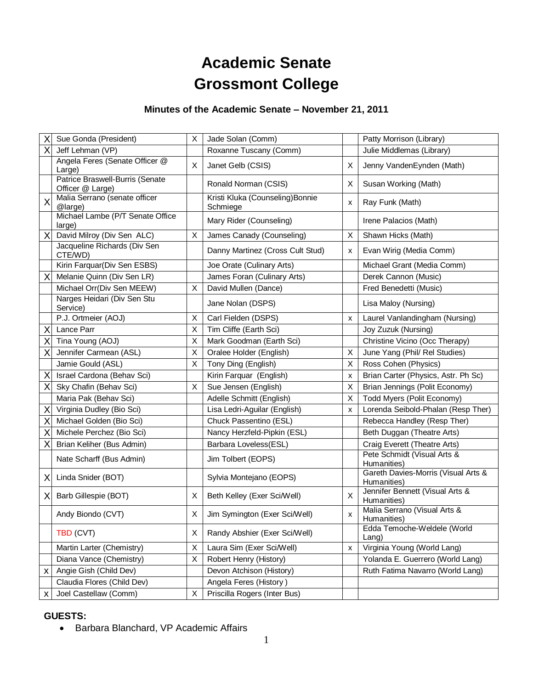# **Academic Senate Grossmont College**

# **Minutes of the Academic Senate – November 21, 2011**

| X | Sue Gonda (President)                               | X | Jade Solan (Comm)                            |   | Patty Morrison (Library)                           |
|---|-----------------------------------------------------|---|----------------------------------------------|---|----------------------------------------------------|
| Χ | Jeff Lehman (VP)                                    |   | Roxanne Tuscany (Comm)                       |   | Julie Middlemas (Library)                          |
|   | Angela Feres (Senate Officer @<br>Large)            | X | Janet Gelb (CSIS)                            | X | Jenny VandenEynden (Math)                          |
|   | Patrice Braswell-Burris (Senate<br>Officer @ Large) |   | Ronald Norman (CSIS)                         | X | Susan Working (Math)                               |
| X | Malia Serrano (senate officer<br>@large)            |   | Kristi Kluka (Counseling) Bonnie<br>Schmiege | X | Ray Funk (Math)                                    |
|   | Michael Lambe (P/T Senate Office<br>large)          |   | Mary Rider (Counseling)                      |   | Irene Palacios (Math)                              |
| X | David Milroy (Div Sen ALC)                          | X | James Canady (Counseling)                    | X | Shawn Hicks (Math)                                 |
|   | Jacqueline Richards (Div Sen<br>CTE/WD)             |   | Danny Martinez (Cross Cult Stud)             | х | Evan Wirig (Media Comm)                            |
|   | Kirin Farquar(Div Sen ESBS)                         |   | Joe Orate (Culinary Arts)                    |   | Michael Grant (Media Comm)                         |
| X | Melanie Quinn (Div Sen LR)                          |   | James Foran (Culinary Arts)                  |   | Derek Cannon (Music)                               |
|   | Michael Orr(Div Sen MEEW)                           | X | David Mullen (Dance)                         |   | Fred Benedetti (Music)                             |
|   | Narges Heidari (Div Sen Stu<br>Service)             |   | Jane Nolan (DSPS)                            |   | Lisa Maloy (Nursing)                               |
|   | P.J. Ortmeier (AOJ)                                 | X | Carl Fielden (DSPS)                          | X | Laurel Vanlandingham (Nursing)                     |
| X | Lance Parr                                          | Χ | Tim Cliffe (Earth Sci)                       |   | Joy Zuzuk (Nursing)                                |
| Χ | Tina Young (AOJ)                                    | X | Mark Goodman (Earth Sci)                     |   | Christine Vicino (Occ Therapy)                     |
| Χ | Jennifer Carmean (ASL)                              | X | Oralee Holder (English)                      | X | June Yang (Phil/ Rel Studies)                      |
|   | Jamie Gould (ASL)                                   | X | Tony Ding (English)                          | X | Ross Cohen (Physics)                               |
| X | Israel Cardona (Behav Sci)                          |   | Kirin Farquar (English)                      | X | Brian Carter (Physics, Astr. Ph Sc)                |
| Χ | Sky Chafin (Behav Sci)                              | X | Sue Jensen (English)                         | X | Brian Jennings (Polit Economy)                     |
|   | Maria Pak (Behav Sci)                               |   | Adelle Schmitt (English)                     | X | Todd Myers (Polit Economy)                         |
| X | Virginia Dudley (Bio Sci)                           |   | Lisa Ledri-Aguilar (English)                 | X | Lorenda Seibold-Phalan (Resp Ther)                 |
| Χ | Michael Golden (Bio Sci)                            |   | Chuck Passentino (ESL)                       |   | Rebecca Handley (Resp Ther)                        |
| X | Michele Perchez (Bio Sci)                           |   | Nancy Herzfeld-Pipkin (ESL)                  |   | Beth Duggan (Theatre Arts)                         |
| X | Brian Keliher (Bus Admin)                           |   | Barbara Loveless(ESL)                        |   | Craig Everett (Theatre Arts)                       |
|   | Nate Scharff (Bus Admin)                            |   | Jim Tolbert (EOPS)                           |   | Pete Schmidt (Visual Arts &<br>Humanities)         |
| X | Linda Snider (BOT)                                  |   | Sylvia Montejano (EOPS)                      |   | Gareth Davies-Morris (Visual Arts &<br>Humanities) |
| X | Barb Gillespie (BOT)                                | X | Beth Kelley (Exer Sci/Well)                  | X | Jennifer Bennett (Visual Arts &<br>Humanities)     |
|   | Andy Biondo (CVT)                                   | Х | Jim Symington (Exer Sci/Well)                | x | Malia Serrano (Visual Arts &<br>Humanities)        |
|   | TBD (CVT)                                           | X | Randy Abshier (Exer Sci/Well)                |   | Edda Temoche-Weldele (World<br>Lang)               |
|   | Martin Larter (Chemistry)                           | X | Laura Sim (Exer Sci/Well)                    | X | Virginia Young (World Lang)                        |
|   | Diana Vance (Chemistry)                             | X | Robert Henry (History)                       |   | Yolanda E. Guerrero (World Lang)                   |
| X | Angie Gish (Child Dev)                              |   | Devon Atchison (History)                     |   | Ruth Fatima Navarro (World Lang)                   |
|   | Claudia Flores (Child Dev)                          |   | Angela Feres (History)                       |   |                                                    |
| x | Joel Castellaw (Comm)                               | X | Priscilla Rogers (Inter Bus)                 |   |                                                    |

#### **GUESTS:**

• Barbara Blanchard, VP Academic Affairs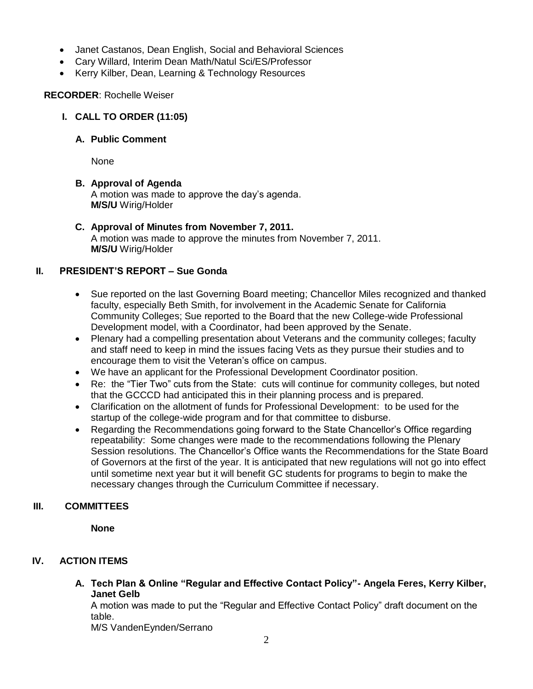- Janet Castanos, Dean English, Social and Behavioral Sciences
- Cary Willard, Interim Dean Math/Natul Sci/ES/Professor
- Kerry Kilber, Dean, Learning & Technology Resources

#### **RECORDER**: Rochelle Weiser

**I. CALL TO ORDER (11:05)**

#### **A. Public Comment**

None

## **B. Approval of Agenda**

A motion was made to approve the day's agenda. **M/S/U** Wirig/Holder

**C. Approval of Minutes from November 7, 2011.** A motion was made to approve the minutes from November 7, 2011. **M/S/U** Wirig/Holder

## **II. PRESIDENT'S REPORT – Sue Gonda**

- Sue reported on the last Governing Board meeting; Chancellor Miles recognized and thanked faculty, especially Beth Smith, for involvement in the Academic Senate for California Community Colleges; Sue reported to the Board that the new College-wide Professional Development model, with a Coordinator, had been approved by the Senate.
- Plenary had a compelling presentation about Veterans and the community colleges; faculty and staff need to keep in mind the issues facing Vets as they pursue their studies and to encourage them to visit the Veteran's office on campus.
- We have an applicant for the Professional Development Coordinator position.
- Re: the "Tier Two" cuts from the State: cuts will continue for community colleges, but noted that the GCCCD had anticipated this in their planning process and is prepared.
- Clarification on the allotment of funds for Professional Development: to be used for the startup of the college-wide program and for that committee to disburse.
- Regarding the Recommendations going forward to the State Chancellor's Office regarding repeatability: Some changes were made to the recommendations following the Plenary Session resolutions. The Chancellor's Office wants the Recommendations for the State Board of Governors at the first of the year. It is anticipated that new regulations will not go into effect until sometime next year but it will benefit GC students for programs to begin to make the necessary changes through the Curriculum Committee if necessary.

# **III. COMMITTEES**

**None** 

# **IV. ACTION ITEMS**

**A. Tech Plan & Online "Regular and Effective Contact Policy"- Angela Feres, Kerry Kilber, Janet Gelb**

A motion was made to put the "Regular and Effective Contact Policy" draft document on the table.

M/S VandenEynden/Serrano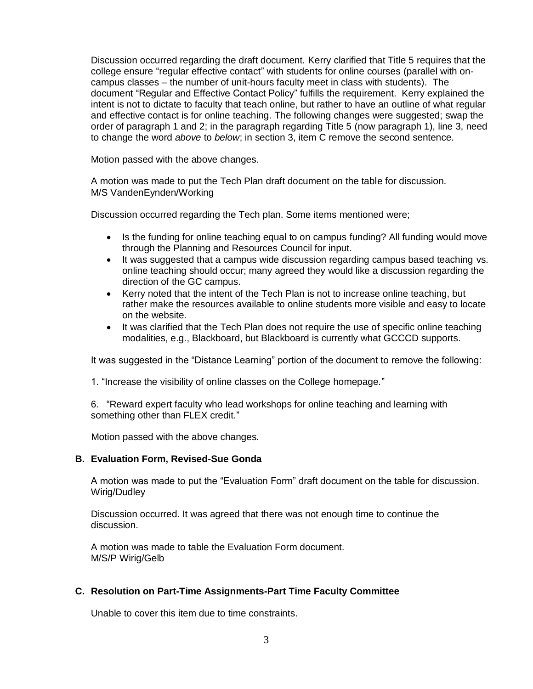Discussion occurred regarding the draft document. Kerry clarified that Title 5 requires that the college ensure "regular effective contact" with students for online courses (parallel with oncampus classes – the number of unit-hours faculty meet in class with students). The document "Regular and Effective Contact Policy" fulfills the requirement. Kerry explained the intent is not to dictate to faculty that teach online, but rather to have an outline of what regular and effective contact is for online teaching. The following changes were suggested; swap the order of paragraph 1 and 2; in the paragraph regarding Title 5 (now paragraph 1), line 3, need to change the word *above* to *below*; in section 3, item C remove the second sentence.

Motion passed with the above changes.

A motion was made to put the Tech Plan draft document on the table for discussion. M/S VandenEynden/Working

Discussion occurred regarding the Tech plan. Some items mentioned were;

- Is the funding for online teaching equal to on campus funding? All funding would move through the Planning and Resources Council for input.
- It was suggested that a campus wide discussion regarding campus based teaching vs. online teaching should occur; many agreed they would like a discussion regarding the direction of the GC campus.
- Kerry noted that the intent of the Tech Plan is not to increase online teaching, but rather make the resources available to online students more visible and easy to locate on the website.
- It was clarified that the Tech Plan does not require the use of specific online teaching modalities, e.g., Blackboard, but Blackboard is currently what GCCCD supports.

It was suggested in the "Distance Learning" portion of the document to remove the following:

1. "Increase the visibility of online classes on the College homepage."

6. "Reward expert faculty who lead workshops for online teaching and learning with something other than FLEX credit."

Motion passed with the above changes.

#### **B. Evaluation Form, Revised-Sue Gonda**

A motion was made to put the "Evaluation Form" draft document on the table for discussion. Wirig/Dudley

Discussion occurred. It was agreed that there was not enough time to continue the discussion.

A motion was made to table the Evaluation Form document. M/S/P Wirig/Gelb

#### **C. Resolution on Part-Time Assignments-Part Time Faculty Committee**

Unable to cover this item due to time constraints.